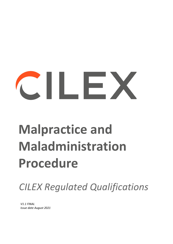# $\sim$  11  $\sim$  2

# **Malpractice and Maladministration Procedure**

*CILEX Regulated Qualifications*

*V1.1 FINAL Issue date August 2021*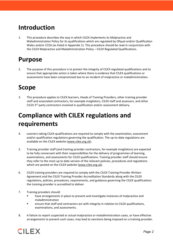#### **Introduction**

1. This procedure describes the way in which CILEX implements its Malpractice and Maladministration Policy for its qualifications which are regulated by Ofqual and/or Qualification Wales and/or CCEA (as listed in Appendix 1). This procedure should be read in conjunction with the CILEX Malpractice and Maladministration Policy – CILEX Regulated Qualifications.

#### **Purpose**

2. The purpose of this procedure is to protect the integrity of CILEX regulated qualifications and to ensure that appropriate action is taken where there is evidence that CILEX qualifications or assessments have been compromised due to an incident of malpractice or maladministration.

#### **Scope**

3. This procedure applies to CILEX learners, Heads of Training Providers, other training provider staff and associated contractors, for example invigilators, CILEX staff and assessors, and other CILEX 3<sup>rd</sup> party contractors involved in qualification and/or assessment delivery.

# **Compliance with CILEX regulations and requirements**

- 4. Learners taking CILEX qualifications are required to comply with the examination, assessment and/or qualification regulations governing the qualification. The up-to-date regulations are available on the CILEX website [\(www.cilex.org.uk\)](http://www.cilex.org.uk/).
- 5. Training provider staff (and training provider contractors, for example invigilators) are expected to be fully conversant with their responsibilities for the delivery of programmes of learning, examinations, and assessments for CILEX qualifications. Training provider staff should ensure they refer to the most up to date version of the relevant policies, procedures and regulations which are posted on the CILEX website [\(www.cilex.org.uk\)](http://www.cilex.org.uk/).
- 6. CILEX training providers are required to comply with the CILEX Training Provider Written Agreement and the CILEX Training Provider Accreditation Standards along with the CILEX regulations, policies, procedures, requirements, and guidance governing the CILEX qualifications the training provider is accredited to deliver.
- 7. Training providers should:
	- **•** have arrangements in place to prevent and investigate instances of malpractice and maladministration
	- ensure that staff and contractors act with integrity in relation to CILEX qualifications, examinations, and assessments.
- 8. A failure to report suspected or actual malpractice or maladministration cases, or have effective arrangements to prevent such cases, may lead to sanctions being imposed on a training provider.

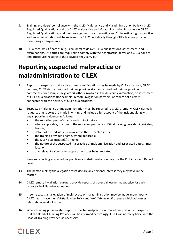- 9. Training providers' compliance with the CILEX Malpractice and Maladministration Policy CILEX Regulated Qualifications and the CILEX Malpractice and Maladministration Procedure – CILEX Regulated Qualifications, and their arrangements for preventing and/or investigating malpractice and maladministration will be reviewed by CILEX periodically through CILEX training provider monitoring arrangements.
- 10. CILEX contracts 3<sup>rd</sup> parties (e.g. Examiners) to deliver CILEX qualifications, assessment, and examinations. 3<sup>rd</sup> parties are required to comply with their contractual terms and CILEX policies and procedures relating to the activities they carry out.

# **Reporting suspected malpractice or maladministration to CILEX**

- 11. Reports of suspected malpractice or maladministration may be made by CILEX assessors, CILEX learners, CILEX staff, accredited training provider staff and accredited training provider contractors (for example invigilators), others involved in the delivery, examination, or assessment of CILEX qualifications (for example, remote invigilation partners) or others not directly connected with the delivery of CILEX qualifications.
- 12. Suspected malpractice or maladministration must be reported to CILEX promptly. CILEX normally requests that reports are made in writing and include a full account of the incident along with any supporting evidence as follows:
	- the reporting person's name and contact details;
	- where applicable, the role of the reporting person, e.g. IQA at training provider, invigilator, learner;
	- details of the individual(s) involved in the suspected incident;
	- the training provider's name, where applicable;
	- the CILEX qualification(s) affected;
	- **the nature of the suspected malpractice or maladministration and associated dates, times,** locations;
	- any relevant evidence to support the issues being reported.

Persons reporting suspected malpractice or maladministration may use the CILEX Incident Report Form.

- 13. The person making the allegation must declare any personal interest they may have in the matter.
- 14. CILEX remote invigilation partners provide reports of potential learner malpractice for each remotely invigilated examination.
- 15. In some cases, an allegation of malpractice or maladministration may be made anonymously. CILEX has in place the *Whistleblowing Policy* and *Whistleblowing Procedure* which addresses whistleblowing disclosures.
- 16. Where training provider staff report suspected malpractice or maladministration, it is expected that the Head of Training Provider will be informed accordingly. CILEX will normally liaise with the Head of Training Provider, as necessary.

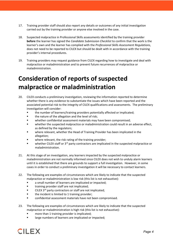- 17. Training provider staff should also report any details or outcomes of any initial investigation carried out by the training provider or anyone else involved in the case.
- 18. Suspected malpractice in Professional Skills assessments identified by the training provider **before** the learner has signed the *Candidate Submission Checklist* to confirm that the work is the learner's own and the learner has complied with the *Professional Skills Assessment Regulations*, does not need to be reported to CILEX but should be dealt with in accordance with the training provider's internal procedures.
- 19. Training providers may request guidance from CILEX regarding how to investigate and deal with malpractice or maladministration and to prevent future recurrences of malpractice or maladministration.

# **Consideration of reports of suspected malpractice or maladministration**

- 20. CILEX conducts a preliminary investigation, reviewing the information reported to determine whether there is any evidence to substantiate the issues which have been reported and the associated potential risk to the integrity of CILEX qualifications and assessments. The preliminary investigation will consider:
	- the number of learners/training providers potentially affected or implicated;
	- the nature of the allegation and the level of risk;
	- whether confidential assessment materials may have been compromised;
	- whether the suspected malpractice or maladministration could result in an adverse effect, as defined by the regulators;
	- where relevant, whether the Head of Training Provider has been implicated in the allegation;
	- where relevant, the risk rating of the training provider;
	- whether CILEX staff or  $3<sup>rd</sup>$  party contractors are implicated in the suspected malpractice or maladministration.
- 21. At this stage of an investigation, any learners impacted by the suspected malpractice or maladministration are not normally informed since CILEX does not wish to unduly alarm learners until it is established that there are grounds to support a full investigation. However, in some cases in order to conduct a preliminary investigation it will be necessary to contact learners.
- 22. The following are examples of circumstances which are likely to indicate that the suspected malpractice or maladministration is low risk (this list is not exhaustive):
	- a small number of learners are implicated or impacted;
	- **The interpole interpretatally in the implicated;**
	- CILEX 3rd party contractors or staff are not implicated;
	- **the incident is limited to 1 training provider;**
	- confidential assessment materials have not been compromised.
- 23. The following are examples of circumstances which are likely to indicate that the suspected malpractice or maladministration is high risk (this list is not exhaustive):
	- **nata in than 1 training provider is implicated;**
	- **If** large numbers of learners are implicated or impacted;

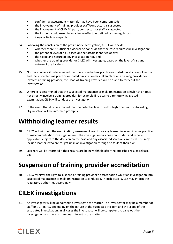- **EXECONFIDENTIAL EXECONFIDENT** confidential assessment materials may have been compromised;
- the involvement of training provider staff/contractors is suspected;
- the involvement of CILEX 3<sup>rd</sup> party contractors or staff is suspected;
- **the incident could result in an adverse effect, as defined by the regulators;**
- illegal activity is suspected.
- 24. Following the conclusion of the preliminary investigation, CILEX will decide:
	- whether there is sufficient evidence to conclude that the case requires full investigation;
	- **the potential level of risk, based on the factors identified above;**
	- **the scope and nature of any investigation required;**
	- whether the training provider or CILEX will investigate, based on the level of risk and nature of the incident.
- 25. Normally, where it is determined that the suspected malpractice or maladministration is low risk and the suspected malpractice or maladministration has taken place at a training provider or involves a training provider, the Head of Training Provider will be asked to carry out the investigation.
- 26. Where it is determined that the suspected malpractice or maladministration is high risk or does not directly involve a training provider, for example if relates to a remotely invigilated examination, CILEX will conduct the investigation.
- 27. In the event that it is determined that the potential level of risk is high, the Head of Awarding Organisation will be informed promptly.

#### **Withholding learner results**

- 28. CILEX will withhold the examination/ assessment results for any learner involved in a malpractice or maladministration investigation until the investigation has been concluded and, where applicable, subject to the decision on the case and any associated sanctions imposed. This may include learners who are caught up in an investigation through no fault of their own.
- 29. Learners will be informed if their results are being withheld after the published results release day.

#### **Suspension of training provider accreditation**

30. CILEX reserves the right to suspend a training provider's accreditation whilst an investigation into suspected malpractice or maladministration is conducted. In such cases, CILEX may inform the regulatory authorities accordingly.

#### **CILEX investigations**

31. An investigator will be appointed to investigate the matter. The investigator may be a member of staff or a  $3<sup>rd</sup>$  party, depending on the nature of the suspected incident and the scope of the associated investigation. In all cases the investigator will be competent to carry out the investigation and have no personal interest in the matter.

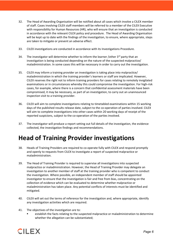- 32. The Head of Awarding Organisation will be notified about all cases which involve a CILEX member of staff. Cases involving CILEX staff members will be referred to a member of the CILEX Executive with responsibility for Human Resources (HR), who will ensure that an investigation is conducted in accordance with the relevant CILEX policy and procedure. The Head of Awarding Organisation will be kept up to date with the findings of the investigation, to ensure, where appropriate, steps are taken to mitigate or prevent an adverse effect.
- 33. CILEX investigations are conducted in accordance with its Investigations Procedure.
- 34. The investigator will determine whether to inform the learner /other  $3<sup>rd</sup>$  party that an investigation is being conducted depending on the nature of the suspected malpractice/ maladministration. In some cases this will be necessary in order to carry out the investigation.
- 35. CILEX may inform a training provider an investigation is taking place into malpractice/ maladministration in which the training provider's learners or staff are implicated. However, CILEX reserves the right not to inform training providers for cases relating to remotely invigilated examinations or in circumstances whereby this could compromise the investigation. For high-risk cases, for example, where there is a concern that confidential assessment materials have been compromised, it may be necessary, as part of an investigation, to carry out an unannounced inspection visit to a training provider.
- 36. CILEX will aim to complete investigations relating to timetabled examinations within 15 working days of the published results release date, subject to the co-operation of parties involved. CILEX will aim to complete investigations into other cases within 20 working days of receipt of the reported suspicions, subject to the co-operation of the parties involved.
- 37. The investigator will produce a report setting out full details of the investigation, the evidence collected, the investigation findings and recommendations.

#### **Head of Training Provider investigations**

- 38. Heads of Training Providers are required to co-operate fully with CILEX and respond promptly and openly to requests from CILEX to investigate a report of suspected malpractice or maladministration.
- 39. The Head of Training Provider is required to supervise all investigations into suspected malpractice or maladministration. However, the Head of Training Provider may delegate an investigation to another member of staff at the training provider who is competent to conduct the investigation. Where possible, an independent member of staff should be appointed investigator to ensure that the investigation is fair and free from bias, concentrating on the collection of evidence which can be evaluated to determine whether malpractice or maladministration has taken place. Any potential conflicts of interests must be identified and mitigated.
- 40. CILEX will set out the terms of reference for the investigation and, where appropriate, identify any investigation activities which are required.
- 41. The objectives of the investigation are to:
	- establish the facts relating to the suspected malpractice or maladministration to determine whether the allegation can be substantiated;

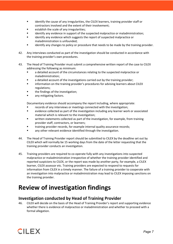- identify the cause of any irregularities, the CILEX learners, training provider staff or contractors involved and the extent of their involvement;
- establish the scale of any irregularities;
- identify any evidence in support of the suspected malpractice or maladministration;
- identify any evidence which suggests the report of suspected malpractice or maladministration is unfounded;
- identify any changes to policy or procedure that needs to be made by the training provider.
- 42. Any interviews conducted as part of the investigation should be conducted in accordance with the training provider's own procedures.
- 43. The Head of Training Provider must submit a comprehensive written report of the case to CILEX addressing the following as minimum:
	- a detailed account of the circumstances relating to the suspected malpractice or maladministration;
	- a detailed account of the investigations carried out by the training provider;
	- information on the training provider's procedures for advising learners about CILEX regulations;
	- the findings of the investigation;
	- **any mitigating factors.**

Documentary evidence should accompany the report including, where appropriate:

- records of any interviews or meetings connected with the investigation;
- evidence collected as part of the investigation including any learner work or associated material which is relevant to the investigation;
- written statements collected as part of the investigation, for example, from training provider staff, contractors, or learners;
- training provider records, for example internal quality assurance records;
- any other relevant evidence identified through the investigation.
- 44. The Head of Training Provider report should be submitted to CILEX by the deadline set out by CILEX which will normally be 15 working days from the date of the letter requesting that the training provider conducts an investigation.
- 45. Training providers are required to co-operate fully with any investigations into suspected malpractice or maladministration irrespective of whether the training provider identified and reported suspicions to CILEX, or the report was made by another party, for example, a CILEX learner, CILEX assessor etc. Training providers are expected to respond to requests for information from CILEX in a timely manner. The failure of a training provider to cooperate with an investigation into malpractice or maladministration may lead to CILEX imposing sanctions on the training provider.

#### **Review of investigation findings**

#### **Investigation conducted by Head of Training Provider**

46. CILEX will decide on the basis of the Head of Training Provider's report and supporting evidence whether there is evidence of malpractice or maladministration and whether to proceed with a formal allegation.

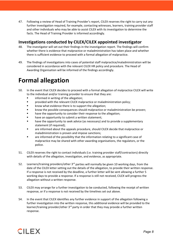47. Following a review of Head of Training Provider's report, CILEX reserves the right to carry out any further investigation required, for example, contacting witnesses, learners, training provider staff and other individuals who may be able to assist CILEX with its investigation to determine the facts. The Head of Training Provider is informed accordingly.

#### **Investigations conducted by CILEX/CILEX appointed investigator**

- 48. The investigator will set out their findings in the investigation report. The findings will confirm whether there is evidence that malpractice or maladministration has taken place and whether there is sufficient evidence to proceed with a formal allegation of malpractice.
- 49. The findings of investigations into cases of potential staff malpractice/maladministration will be considered in accordance with the relevant CILEX HR policy and procedure. The Head of Awarding Organisation will be informed of the findings accordingly.

#### **Formal allegation**

- 50. In the event that CILEX decides to proceed with a formal allegation of malpractice CILEX will write to the individual and/or training provider to ensure that they are:
	- informed in writing of the allegation;
	- **F** provided with the relevant CILEX malpractice or maladministration policy;
	- know what evidence there is to support the allegation;
	- know the possible consequences should malpractice or maladministration be proven;
	- have the opportunity to consider their response to the allegation;
	- have an opportunity to submit a written statement;
	- have the opportunity to seek advice (as necessary) and to provide a supplementary statement (if required);
	- are informed about the appeals procedure, should CILEX decide that malpractice or maladministration is proven and impose sanctions;
	- are informed of the possibility that the information relating to a significant case of malpractice may be shared with other awarding organisations, the regulators, or the police.
- 51. CILEX reserves the right to contact individuals (i.e. training provider staff/contractors) directly with details of the allegation, investigation, and evidence, as appropriate.
- 52. Learners/training providers/other 3<sup>rd</sup> parties will normally be given 10 working days, from the date of the CILEX letter setting out the details of the allegation, to provide their written response. If a response is not received by the deadline, a further letter will be sent allowing a further 5 working days to provide a response. If a response is still not received, CILEX will progress the allegation without a written response.
- 53. CILEX may arrange for a further investigation to be conducted, following the receipt of written response, or if a response is not received by the timelines set out above.
- 54. In the event that CILEX identifies any further evidence in support of the allegation following a further investigation into the written response, this additional evidence will be provided to the learner/training provider/other 3<sup>rd</sup> party in order that they may provide a further written response.

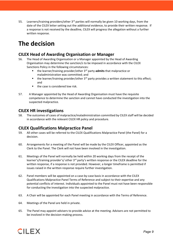55. Learners/training providers/other 3<sup>rd</sup> parties will normally be given 10 working days, from the date of the CILEX letter setting out the additional evidence, to provide their written response. If a response is not received by the deadline, CILEX will progress the allegation without a further written response.

#### **The decision**

#### **CILEX Head of Awarding Organisation or Manager**

- 56. The Head of Awarding Organisation or a Manager appointed by the Head of Awarding Organisation may determine the sanction/s to be imposed in accordance with the CILEX Sanctions Policy in the following circumstances:
	- the learner/training provider/other 3rd party **admits** that malpractice or maladministration was committed; and
	- $\blacksquare$  the learner/training provider/other 3<sup>rd</sup> party provides a written statement to this effect; and
	- the case is considered low risk.
- 57. A Manager appointed by the Head of Awarding Organisation must have the requisite competence to determine the sanction and cannot have conducted the investigation into the suspected malpractice.

#### **CILEX HR investigations**

58. The outcomes of cases of malpractice/maladministration committed by CILEX staff will be decided in accordance with the relevant CILEX HR policy and procedure.

#### **CILEX Qualifications Malpractice Panel**

- 59. All other cases will be referred to the CILEX Qualifications Malpractice Panel (the Panel) for a decision.
- 60. Arrangements for a meeting of the Panel will be made by the CILEX Officer, appointed as the Clerk to the Panel. The Clerk will not have been involved in the investigation.
- 61. Meetings of the Panel will normally be held within 20 working days from the receipt of the learner's/training provider's/ other 3<sup>rd</sup> party's written response or the CILEX deadline for the written response, if a response is not provided. However, a longer timeframe is permitted if issues raised in the written response require further investigation.
- 62. Panel members will be appointed on a case-by-case basis in accordance with the CILEX Qualifications Malpractice Panel Terms of Reference and subject to their expertise and any potential conflicts of interest. Individuals appointed to the Panel must not have been responsible for conducting the investigation into the suspected malpractice.
- 63. A Chair will be appointed for each Panel meeting in accordance with the Terms of Reference.
- 64. Meetings of the Panel are held in private.
- 65. The Panel may appoint advisers to provide advice at the meeting. Advisers are not permitted to be involved in the decision-making process.

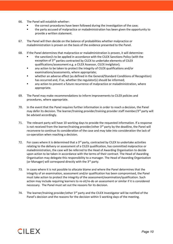- 66. The Panel will establish whether:
	- the correct procedures have been followed during the investigation of the case;
	- the party accused of malpractice or maladministration has been given the opportunity to provide a written statement.
- 67. The Panel will then decide on the balance of probabilities whether malpractice or maladministration is proven on the basis of the evidence presented to the Panel.
- 68. If the Panel determines that malpractice or maladministration is proven, it will determine:
	- the sanction/s to be applied in accordance with the CILEX Sanctions Policy (with the exception of 3<sup>rd</sup> parties contracted by CILEX to undertake elements of CILEX qualifications/assessment e.g. a CILEX Assessor, CILEX invigilator);
	- any action to be taken to protect the integrity of CILEX qualifications and/or examinations/assessments, where appropriate;
	- whether an adverse effect (as defined in the General/Standard Conditions of Recognition) has occurred and, if so, whether the regulator(s) should be informed;
	- any action to prevent a future recurrence of malpractice or maladministration, where appropriate.
- 69. The Panel may make recommendations to inform improvements to CILEX policies and procedures, where appropriate.
- 70. In the event that the Panel requires further information in order to reach a decision, the Panel may defer its decision. The learner/training provider/training provider staff member/3<sup>rd</sup> party will be advised accordingly.
- 71. The relevant party will have 10 working days to provide the requested information. If a response is not received from the learner/training provider/other  $3<sup>rd</sup>$  party by the deadline, the Panel will reconvene to continue its consideration of the case and may take into consideration the lack of co-operation when reaching a decision.
- 72. For cases where it is determined that a  $3<sup>rd</sup>$  party, contracted by CILEX to undertake activities relating to the delivery or assessment of a CILEX qualification, has committed malpractice or maladministration, the case will be referred to the Head of Awarding Organisation to decide upon action to be taken in accordance with the terms of their contract. The Head of Awarding Organisation may delegate this responsibility to a manager. The Head of Awarding Organisation (or Manager) will correspond directly with the  $3^{rd}$  party.
- 73. In cases where it is not possible to allocate blame and where the Panel determines that the integrity of an examination, assessment and/or qualification has been compromised, the Panel must take action to protect the integrity of the assessment/examination/qualification. Such action may include requiring learners to re-sit/re-do an assessment or similar if it is considered necessary. The Panel must set out the reasons for its decision.
- 74. The learner/training provider/other 3<sup>rd</sup> party and the CILEX Investigator will be notified of the Panel's decision and the reasons for the decision within 5 working days of the meeting.

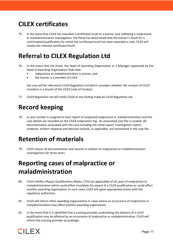# **CILEX certificates**

75. In the event that CILEX has awarded a certificate/result to a learner and, following a malpractice or maladministration investigation, the Panel has determined that the learner's result for a unit/module/qualification for which the certificate/result has been awarded is void, CILEX will revoke the relevant certificate/result.

#### **Referral to CILEX Regulation Ltd**

- 76. In the event that the Panel, the Head of Awarding Organisation or a Manager appointed by the Head of Awarding Organisation finds that:
	- **EXECUTE:** malpractice or maladministration is proven, and
	- the learner is a member of CILEX

the case will be referred to CILEX Regulation Ltd which considers whether the conduct of CILEX members is a breach of the CILEX Code of Conduct.

77. CILEX Regulation Ltd will notify CILEX of any finding made by CILEX Regulation Ltd.

# **Record keeping**

78. A case number is assigned to each report of suspected malpractice or maladministration and the case details are recorded on the CILEX malpractice log. An associated case file is created. All documentation associated with the case including the initial report, investigation report, evidence, written response and decision records, as applicable, are maintained in the case file.

#### **Retention of materials**

79. CILEX retains all documentation and records in relation to malpractice or maladministration investigations for three years.

#### **Reporting cases of malpractice or maladministration**

- 80. CILEX notifies Ofqual, Qualifications Wales, CCEA (as applicable) of all cases of malpractice or maladministration which could either invalidate the award of a CILEX qualification or could affect another awarding organisation. In such cases CILEX will agree appropriate action with the regulatory authorities.
- 81. CILEX will inform other awarding organisations in cases where an occurrence of malpractice or maladministration may affect another awarding organisation.
- 82. In the event that it is identified that a training provider undertaking the delivery of a CILEX qualification may be affected by an occurrence of malpractice or maladministration, CILEX will inform the training provider accordingly.

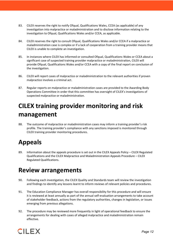- 83. CILEX reserves the right to notify Ofqual, Qualifications Wales, CCEA (as applicable) of any investigation into malpractice or maladministration and to disclose information relating to the investigation to Ofqual, Qualifications Wales and/or CCEA, as applicable.
- 84. CILEX reserves the right to consult Ofqual, Qualifications Wales and/or CCEA if a malpractice or maladministration case is complex or if a lack of cooperation from a training provider means that CILEX is unable to complete an investigation.
- 85. In instances where CILEX has informed or consulted Ofqual, Qualifications Wales or CCEA about a significant case of suspected training provider malpractice or maladministration, CILEX will provide Ofqual, Qualifications Wales and/or CCEA with a copy of the final report on conclusion of the investigation.
- 86. CILEX will report cases of malpractice or maladministration to the relevant authorities if proven malpractice involves a criminal act.
- 87. Regular reports on malpractice or maladministration cases are provided to the Awarding Body Operations Committee in order that this committee has oversight of CILEX's investigations of suspected malpractice or maladministration.

# **CILEX training provider monitoring and risk management**

88. The outcome of malpractice or maladministration cases may inform a training provider's risk profile. The training provider's compliance with any sanctions imposed is monitored through CILEX training provider monitoring procedures.

# **Appeals**

89. Information about the appeals procedure is set out in the CILEX Appeals Policy – CILEX Regulated Qualifications and the CILEX Malpractice and Maladministration Appeals Procedure – CILEX Regulated Qualifications.

#### **Review arrangements**

- 90. Following each investigation, the CILEX Quality and Standards team will review the investigation and findings to identify any lessons learnt to inform reviews of relevant policies and procedures.
- 91. The Education Compliance Manager has overall responsibility for this procedure and will ensure it is reviewed at least annually as part of the annual self-evaluation arrangements to take account of stakeholder feedback, actions from the regulatory authorities, changes in legislation, or issues emerging from previous allegations.
- 92. The procedure may be reviewed more frequently in light of operational feedback to ensure the arrangements for dealing with cases of alleged malpractice and maladministration remain effective.

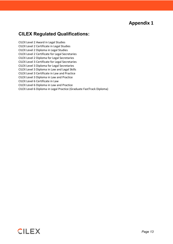#### **Appendix 1**

#### **CILEX Regulated Qualifications:**

CILEX Level 2 Award in Legal Studies CILEX Level 2 Certificate in Legal Studies CILEX Level 2 Diploma in Legal Studies CILEX Level 2 Certificate for Legal Secretaries CILEX Level 2 Diploma for Legal Secretaries CILEX Level 3 Certificate for Legal Secretaries CILEX Level 3 Diploma for Legal Secretaries CILEX Level 3 Diploma in Law and Legal Skills CILEX Level 3 Certificate in Law and Practice CILEX Level 3 Diploma in Law and Practice CILEX Level 6 Certificate in Law CILEX Level 6 Diploma in Law and Practice CILEX Level 6 Diploma in Legal Practice (Graduate FastTrack Diploma)